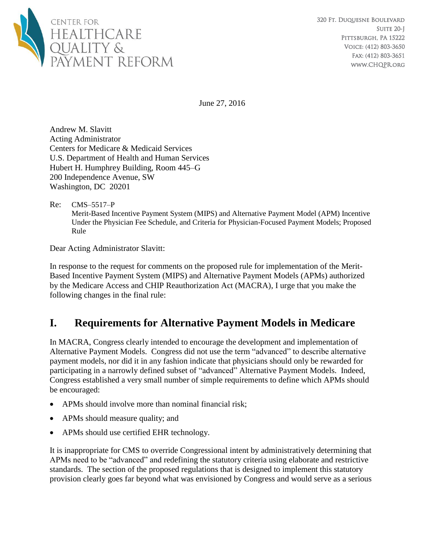

June 27, 2016

Andrew M. Slavitt Acting Administrator Centers for Medicare & Medicaid Services U.S. Department of Health and Human Services Hubert H. Humphrey Building, Room 445–G 200 Independence Avenue, SW Washington, DC 20201

#### Re: CMS–5517–P

Merit-Based Incentive Payment System (MIPS) and Alternative Payment Model (APM) Incentive Under the Physician Fee Schedule, and Criteria for Physician-Focused Payment Models; Proposed Rule

Dear Acting Administrator Slavitt:

In response to the request for comments on the proposed rule for implementation of the Merit-Based Incentive Payment System (MIPS) and Alternative Payment Models (APMs) authorized by the Medicare Access and CHIP Reauthorization Act (MACRA), I urge that you make the following changes in the final rule:

# **I. Requirements for Alternative Payment Models in Medicare**

In MACRA, Congress clearly intended to encourage the development and implementation of Alternative Payment Models. Congress did not use the term "advanced" to describe alternative payment models, nor did it in any fashion indicate that physicians should only be rewarded for participating in a narrowly defined subset of "advanced" Alternative Payment Models. Indeed, Congress established a very small number of simple requirements to define which APMs should be encouraged:

- APMs should involve more than nominal financial risk;
- APMs should measure quality; and
- APMs should use certified EHR technology.

It is inappropriate for CMS to override Congressional intent by administratively determining that APMs need to be "advanced" and redefining the statutory criteria using elaborate and restrictive standards. The section of the proposed regulations that is designed to implement this statutory provision clearly goes far beyond what was envisioned by Congress and would serve as a serious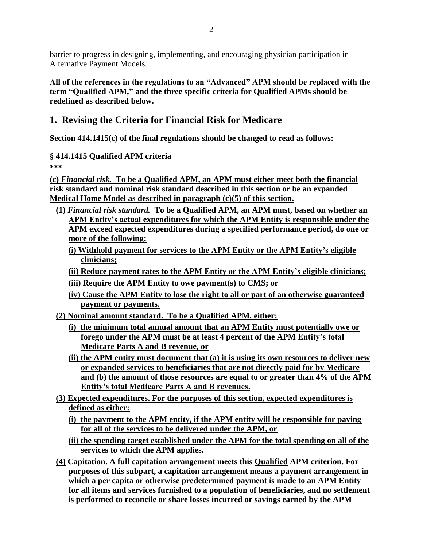barrier to progress in designing, implementing, and encouraging physician participation in Alternative Payment Models.

**All of the references in the regulations to an "Advanced" APM should be replaced with the term "Qualified APM," and the three specific criteria for Qualified APMs should be redefined as described below.**

## **1. Revising the Criteria for Financial Risk for Medicare**

**Section 414.1415(c) of the final regulations should be changed to read as follows:**

### **§ 414.1415 Qualified APM criteria**

**\*\*\***

**(c)** *Financial risk.* **To be a Qualified APM, an APM must either meet both the financial risk standard and nominal risk standard described in this section or be an expanded Medical Home Model as described in paragraph (c)(5) of this section.** 

- **(1)** *Financial risk standard.* **To be a Qualified APM, an APM must, based on whether an APM Entity's actual expenditures for which the APM Entity is responsible under the APM exceed expected expenditures during a specified performance period, do one or more of the following:**
	- **(i) Withhold payment for services to the APM Entity or the APM Entity's eligible clinicians;**
	- **(ii) Reduce payment rates to the APM Entity or the APM Entity's eligible clinicians;**
	- **(iii) Require the APM Entity to owe payment(s) to CMS; or**
	- **(iv) Cause the APM Entity to lose the right to all or part of an otherwise guaranteed payment or payments.**
- **(2) Nominal amount standard. To be a Qualified APM, either:**
	- **(i) the minimum total annual amount that an APM Entity must potentially owe or forego under the APM must be at least 4 percent of the APM Entity's total Medicare Parts A and B revenue, or**
	- **(ii) the APM entity must document that (a) it is using its own resources to deliver new or expanded services to beneficiaries that are not directly paid for by Medicare and (b) the amount of those resources are equal to or greater than 4% of the APM Entity's total Medicare Parts A and B revenues.**
- **(3) Expected expenditures. For the purposes of this section, expected expenditures is defined as either:**
	- **(i) the payment to the APM entity, if the APM entity will be responsible for paying for all of the services to be delivered under the APM, or**
	- **(ii) the spending target established under the APM for the total spending on all of the services to which the APM applies.**
- **(4) Capitation. A full capitation arrangement meets this Qualified APM criterion. For purposes of this subpart, a capitation arrangement means a payment arrangement in which a per capita or otherwise predetermined payment is made to an APM Entity for all items and services furnished to a population of beneficiaries, and no settlement is performed to reconcile or share losses incurred or savings earned by the APM**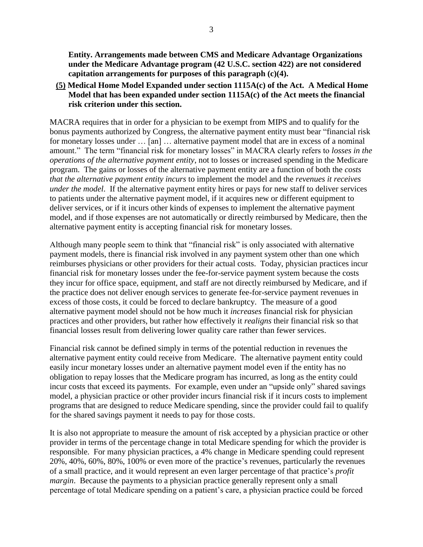**Entity. Arrangements made between CMS and Medicare Advantage Organizations under the Medicare Advantage program (42 U.S.C. section 422) are not considered capitation arrangements for purposes of this paragraph (c)(4).**

**(5) Medical Home Model Expanded under section 1115A(c) of the Act. A Medical Home Model that has been expanded under section 1115A(c) of the Act meets the financial risk criterion under this section.**

MACRA requires that in order for a physician to be exempt from MIPS and to qualify for the bonus payments authorized by Congress, the alternative payment entity must bear "financial risk for monetary losses under … [an] … alternative payment model that are in excess of a nominal amount." The term "financial risk for monetary losses" in MACRA clearly refers to *losses in the operations of the alternative payment entity*, not to losses or increased spending in the Medicare program. The gains or losses of the alternative payment entity are a function of both the *costs that the alternative payment entity incurs* to implement the model and the *revenues it receives under the model*. If the alternative payment entity hires or pays for new staff to deliver services to patients under the alternative payment model, if it acquires new or different equipment to deliver services, or if it incurs other kinds of expenses to implement the alternative payment model, and if those expenses are not automatically or directly reimbursed by Medicare, then the alternative payment entity is accepting financial risk for monetary losses.

Although many people seem to think that "financial risk" is only associated with alternative payment models, there is financial risk involved in any payment system other than one which reimburses physicians or other providers for their actual costs. Today, physician practices incur financial risk for monetary losses under the fee-for-service payment system because the costs they incur for office space, equipment, and staff are not directly reimbursed by Medicare, and if the practice does not deliver enough services to generate fee-for-service payment revenues in excess of those costs, it could be forced to declare bankruptcy. The measure of a good alternative payment model should not be how much it *increases* financial risk for physician practices and other providers, but rather how effectively it *realigns* their financial risk so that financial losses result from delivering lower quality care rather than fewer services.

Financial risk cannot be defined simply in terms of the potential reduction in revenues the alternative payment entity could receive from Medicare. The alternative payment entity could easily incur monetary losses under an alternative payment model even if the entity has no obligation to repay losses that the Medicare program has incurred, as long as the entity could incur costs that exceed its payments. For example, even under an "upside only" shared savings model, a physician practice or other provider incurs financial risk if it incurs costs to implement programs that are designed to reduce Medicare spending, since the provider could fail to qualify for the shared savings payment it needs to pay for those costs.

It is also not appropriate to measure the amount of risk accepted by a physician practice or other provider in terms of the percentage change in total Medicare spending for which the provider is responsible. For many physician practices, a 4% change in Medicare spending could represent 20%, 40%, 60%, 80%, 100% or even more of the practice's revenues, particularly the revenues of a small practice, and it would represent an even larger percentage of that practice's *profit margin*. Because the payments to a physician practice generally represent only a small percentage of total Medicare spending on a patient's care, a physician practice could be forced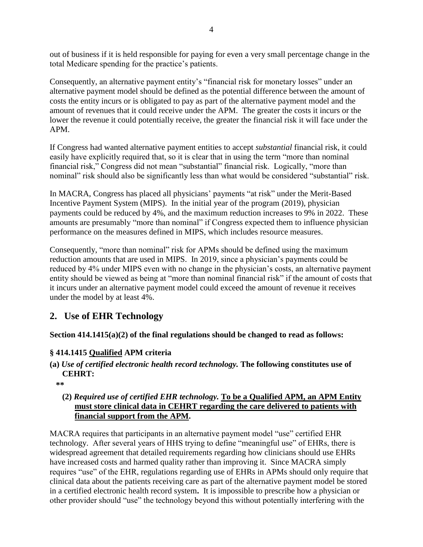out of business if it is held responsible for paying for even a very small percentage change in the total Medicare spending for the practice's patients.

Consequently, an alternative payment entity's "financial risk for monetary losses" under an alternative payment model should be defined as the potential difference between the amount of costs the entity incurs or is obligated to pay as part of the alternative payment model and the amount of revenues that it could receive under the APM.The greater the costs it incurs or the lower the revenue it could potentially receive, the greater the financial risk it will face under the APM.

If Congress had wanted alternative payment entities to accept *substantial* financial risk, it could easily have explicitly required that, so it is clear that in using the term "more than nominal financial risk," Congress did not mean "substantial" financial risk. Logically, "more than nominal" risk should also be significantly less than what would be considered "substantial" risk.

In MACRA, Congress has placed all physicians' payments "at risk" under the Merit-Based Incentive Payment System (MIPS). In the initial year of the program (2019), physician payments could be reduced by 4%, and the maximum reduction increases to 9% in 2022. These amounts are presumably "more than nominal" if Congress expected them to influence physician performance on the measures defined in MIPS, which includes resource measures.

Consequently, "more than nominal" risk for APMs should be defined using the maximum reduction amounts that are used in MIPS. In 2019, since a physician's payments could be reduced by 4% under MIPS even with no change in the physician's costs, an alternative payment entity should be viewed as being at "more than nominal financial risk" if the amount of costs that it incurs under an alternative payment model could exceed the amount of revenue it receives under the model by at least 4%.

## **2. Use of EHR Technology**

**Section 414.1415(a)(2) of the final regulations should be changed to read as follows:**

### **§ 414.1415 Qualified APM criteria**

- **(a)** *Use of certified electronic health record technology.* **The following constitutes use of CEHRT:** 
	- **\*\***

#### **(2)** *Required use of certified EHR technology.* **To be a Qualified APM, an APM Entity must store clinical data in CEHRT regarding the care delivered to patients with financial support from the APM.**

MACRA requires that participants in an alternative payment model "use" certified EHR technology. After several years of HHS trying to define "meaningful use" of EHRs, there is widespread agreement that detailed requirements regarding how clinicians should use EHRs have increased costs and harmed quality rather than improving it. Since MACRA simply requires "use" of the EHR, regulations regarding use of EHRs in APMs should only require that clinical data about the patients receiving care as part of the alternative payment model be stored in a certified electronic health record system**.** It is impossible to prescribe how a physician or other provider should "use" the technology beyond this without potentially interfering with the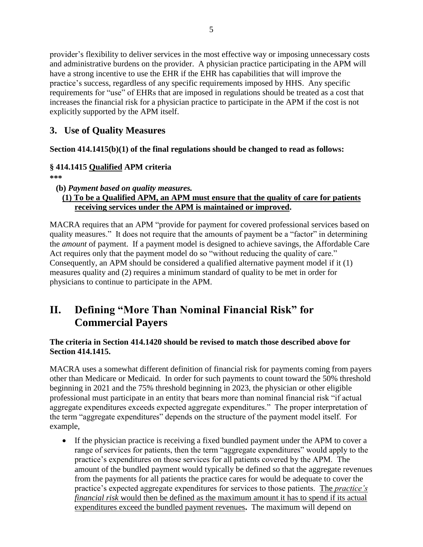provider's flexibility to deliver services in the most effective way or imposing unnecessary costs and administrative burdens on the provider. A physician practice participating in the APM will have a strong incentive to use the EHR if the EHR has capabilities that will improve the practice's success, regardless of any specific requirements imposed by HHS. Any specific requirements for "use" of EHRs that are imposed in regulations should be treated as a cost that increases the financial risk for a physician practice to participate in the APM if the cost is not explicitly supported by the APM itself.

## **3. Use of Quality Measures**

**Section 414.1415(b)(1) of the final regulations should be changed to read as follows:**

### **§ 414.1415 Qualified APM criteria**

**\*\*\***

**(b)** *Payment based on quality measures.* 

### **(1) To be a Qualified APM, an APM must ensure that the quality of care for patients receiving services under the APM is maintained or improved.**

MACRA requires that an APM "provide for payment for covered professional services based on quality measures." It does not require that the amounts of payment be a "factor" in determining the *amount* of payment. If a payment model is designed to achieve savings, the Affordable Care Act requires only that the payment model do so "without reducing the quality of care." Consequently, an APM should be considered a qualified alternative payment model if it (1) measures quality and (2) requires a minimum standard of quality to be met in order for physicians to continue to participate in the APM.

# **II. Defining "More Than Nominal Financial Risk" for Commercial Payers**

### **The criteria in Section 414.1420 should be revised to match those described above for Section 414.1415.**

MACRA uses a somewhat different definition of financial risk for payments coming from payers other than Medicare or Medicaid. In order for such payments to count toward the 50% threshold beginning in 2021 and the 75% threshold beginning in 2023, the physician or other eligible professional must participate in an entity that bears more than nominal financial risk "if actual aggregate expenditures exceeds expected aggregate expenditures." The proper interpretation of the term "aggregate expenditures" depends on the structure of the payment model itself. For example,

 If the physician practice is receiving a fixed bundled payment under the APM to cover a range of services for patients, then the term "aggregate expenditures" would apply to the practice's expenditures on those services for all patients covered by the APM. The amount of the bundled payment would typically be defined so that the aggregate revenues from the payments for all patients the practice cares for would be adequate to cover the practice's expected aggregate expenditures for services to those patients. The *practice's financial risk* would then be defined as the maximum amount it has to spend if its actual expenditures exceed the bundled payment revenues**.** The maximum will depend on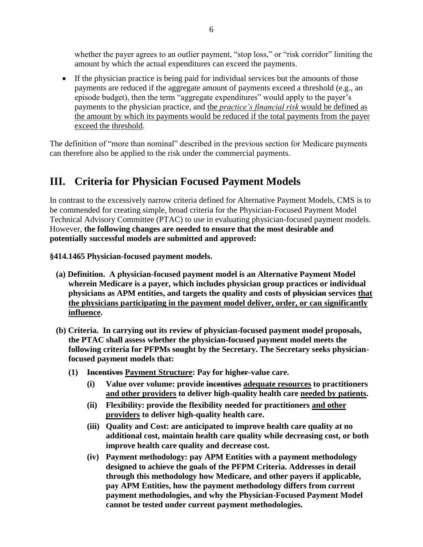whether the payer agrees to an outlier payment, "stop loss," or "risk corridor" limiting the amount by which the actual expenditures can exceed the payments.

 If the physician practice is being paid for individual services but the amounts of those payments are reduced if the aggregate amount of payments exceed a threshold (e.g., an episode budget), then the term "aggregate expenditures" would apply to the payer's payments to the physician practice, and the *practice's financial risk* would be defined as the amount by which its payments would be reduced if the total payments from the payer exceed the threshold.

The definition of "more than nominal" described in the previous section for Medicare payments can therefore also be applied to the risk under the commercial payments.

# **III. Criteria for Physician Focused Payment Models**

In contrast to the excessively narrow criteria defined for Alternative Payment Models, CMS is to be commended for creating simple, broad criteria for the Physician-Focused Payment Model Technical Advisory Committee (PTAC) to use in evaluating physician-focused payment models. However, **the following changes are needed to ensure that the most desirable and potentially successful models are submitted and approved:**

**§414.1465 Physician-focused payment models.**

- **(a) Definition. A physician-focused payment model is an Alternative Payment Model wherein Medicare is a payer, which includes physician group practices or individual physicians as APM entities, and targets the quality and costs of physician services that the physicians participating in the payment model deliver, order, or can significantly influence.**
- **(b) Criteria. In carrying out its review of physician-focused payment model proposals, the PTAC shall assess whether the physician-focused payment model meets the following criteria for PFPMs sought by the Secretary. The Secretary seeks physicianfocused payment models that:**
	- **(1) Incentives Payment Structure: Pay for higher-value care.**
		- **(i) Value over volume: provide incentives adequate resources to practitioners and other providers to deliver high-quality health care needed by patients.**
		- **(ii) Flexibility: provide the flexibility needed for practitioners and other providers to deliver high-quality health care.**
		- **(iii) Quality and Cost: are anticipated to improve health care quality at no additional cost, maintain health care quality while decreasing cost, or both improve health care quality and decrease cost.**
		- **(iv) Payment methodology: pay APM Entities with a payment methodology designed to achieve the goals of the PFPM Criteria. Addresses in detail through this methodology how Medicare, and other payers if applicable, pay APM Entities, how the payment methodology differs from current payment methodologies, and why the Physician-Focused Payment Model cannot be tested under current payment methodologies.**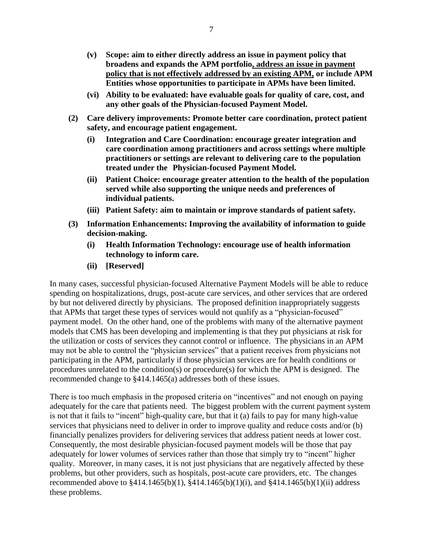- **(v) Scope: aim to either directly address an issue in payment policy that broadens and expands the APM portfolio, address an issue in payment policy that is not effectively addressed by an existing APM, or include APM Entities whose opportunities to participate in APMs have been limited.**
- **(vi) Ability to be evaluated: have evaluable goals for quality of care, cost, and any other goals of the Physician-focused Payment Model.**
- **(2) Care delivery improvements: Promote better care coordination, protect patient safety, and encourage patient engagement.**
	- **(i) Integration and Care Coordination: encourage greater integration and care coordination among practitioners and across settings where multiple practitioners or settings are relevant to delivering care to the population treated under the Physician-focused Payment Model.**
	- **(ii) Patient Choice: encourage greater attention to the health of the population served while also supporting the unique needs and preferences of individual patients.**
	- **(iii) Patient Safety: aim to maintain or improve standards of patient safety.**
- **(3) Information Enhancements: Improving the availability of information to guide decision-making.** 
	- **(i) Health Information Technology: encourage use of health information technology to inform care.**
	- **(ii) [Reserved]**

In many cases, successful physician-focused Alternative Payment Models will be able to reduce spending on hospitalizations, drugs, post-acute care services, and other services that are ordered by but not delivered directly by physicians. The proposed definition inappropriately suggests that APMs that target these types of services would not qualify as a "physician-focused" payment model. On the other hand, one of the problems with many of the alternative payment models that CMS has been developing and implementing is that they put physicians at risk for the utilization or costs of services they cannot control or influence. The physicians in an APM may not be able to control the "physician services" that a patient receives from physicians not participating in the APM, particularly if those physician services are for health conditions or procedures unrelated to the condition(s) or procedure(s) for which the APM is designed. The recommended change to §414.1465(a) addresses both of these issues.

There is too much emphasis in the proposed criteria on "incentives" and not enough on paying adequately for the care that patients need. The biggest problem with the current payment system is not that it fails to "incent" high-quality care, but that it (a) fails to pay for many high-value services that physicians need to deliver in order to improve quality and reduce costs and/or (b) financially penalizes providers for delivering services that address patient needs at lower cost. Consequently, the most desirable physician-focused payment models will be those that pay adequately for lower volumes of services rather than those that simply try to "incent" higher quality. Moreover, in many cases, it is not just physicians that are negatively affected by these problems, but other providers, such as hospitals, post-acute care providers, etc. The changes recommended above to §414.1465(b)(1), §414.1465(b)(1)(i), and §414.1465(b)(1)(ii) address these problems.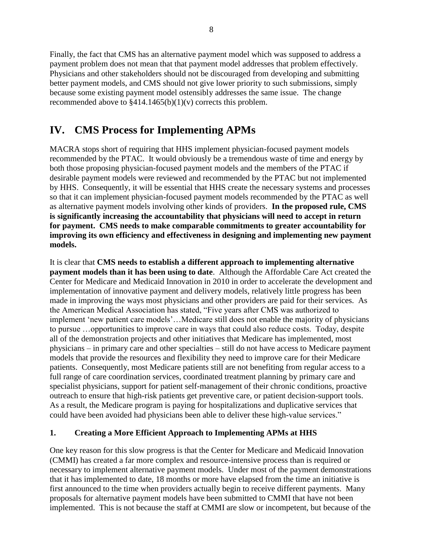Finally, the fact that CMS has an alternative payment model which was supposed to address a payment problem does not mean that that payment model addresses that problem effectively. Physicians and other stakeholders should not be discouraged from developing and submitting better payment models, and CMS should not give lower priority to such submissions, simply because some existing payment model ostensibly addresses the same issue. The change recommended above to  $\frac{2414.1465(b)(1)}{v}$  corrects this problem.

# **IV. CMS Process for Implementing APMs**

MACRA stops short of requiring that HHS implement physician-focused payment models recommended by the PTAC. It would obviously be a tremendous waste of time and energy by both those proposing physician-focused payment models and the members of the PTAC if desirable payment models were reviewed and recommended by the PTAC but not implemented by HHS. Consequently, it will be essential that HHS create the necessary systems and processes so that it can implement physician-focused payment models recommended by the PTAC as well as alternative payment models involving other kinds of providers. **In the proposed rule, CMS is significantly increasing the accountability that physicians will need to accept in return for payment. CMS needs to make comparable commitments to greater accountability for improving its own efficiency and effectiveness in designing and implementing new payment models.**

It is clear that **CMS needs to establish a different approach to implementing alternative payment models than it has been using to date**. Although the Affordable Care Act created the Center for Medicare and Medicaid Innovation in 2010 in order to accelerate the development and implementation of innovative payment and delivery models, relatively little progress has been made in improving the ways most physicians and other providers are paid for their services. As the American Medical Association has stated, "Five years after CMS was authorized to implement 'new patient care models'…Medicare still does not enable the majority of physicians to pursue …opportunities to improve care in ways that could also reduce costs. Today, despite all of the demonstration projects and other initiatives that Medicare has implemented, most physicians – in primary care and other specialties – still do not have access to Medicare payment models that provide the resources and flexibility they need to improve care for their Medicare patients. Consequently, most Medicare patients still are not benefiting from regular access to a full range of care coordination services, coordinated treatment planning by primary care and specialist physicians, support for patient self-management of their chronic conditions, proactive outreach to ensure that high-risk patients get preventive care, or patient decision-support tools. As a result, the Medicare program is paying for hospitalizations and duplicative services that could have been avoided had physicians been able to deliver these high-value services."

#### **1. Creating a More Efficient Approach to Implementing APMs at HHS**

One key reason for this slow progress is that the Center for Medicare and Medicaid Innovation (CMMI) has created a far more complex and resource-intensive process than is required or necessary to implement alternative payment models. Under most of the payment demonstrations that it has implemented to date, 18 months or more have elapsed from the time an initiative is first announced to the time when providers actually begin to receive different payments. Many proposals for alternative payment models have been submitted to CMMI that have not been implemented. This is not because the staff at CMMI are slow or incompetent, but because of the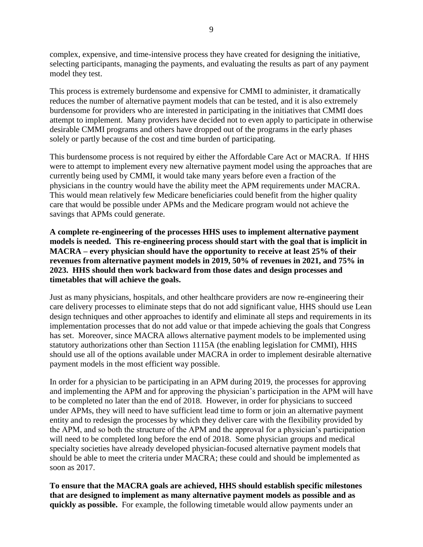complex, expensive, and time-intensive process they have created for designing the initiative, selecting participants, managing the payments, and evaluating the results as part of any payment model they test.

This process is extremely burdensome and expensive for CMMI to administer, it dramatically reduces the number of alternative payment models that can be tested, and it is also extremely burdensome for providers who are interested in participating in the initiatives that CMMI does attempt to implement. Many providers have decided not to even apply to participate in otherwise desirable CMMI programs and others have dropped out of the programs in the early phases solely or partly because of the cost and time burden of participating.

This burdensome process is not required by either the Affordable Care Act or MACRA. If HHS were to attempt to implement every new alternative payment model using the approaches that are currently being used by CMMI, it would take many years before even a fraction of the physicians in the country would have the ability meet the APM requirements under MACRA. This would mean relatively few Medicare beneficiaries could benefit from the higher quality care that would be possible under APMs and the Medicare program would not achieve the savings that APMs could generate.

**A complete re-engineering of the processes HHS uses to implement alternative payment models is needed. This re-engineering process should start with the goal that is implicit in MACRA – every physician should have the opportunity to receive at least 25% of their revenues from alternative payment models in 2019, 50% of revenues in 2021, and 75% in 2023. HHS should then work backward from those dates and design processes and timetables that will achieve the goals.** 

Just as many physicians, hospitals, and other healthcare providers are now re-engineering their care delivery processes to eliminate steps that do not add significant value, HHS should use Lean design techniques and other approaches to identify and eliminate all steps and requirements in its implementation processes that do not add value or that impede achieving the goals that Congress has set. Moreover, since MACRA allows alternative payment models to be implemented using statutory authorizations other than Section 1115A (the enabling legislation for CMMI), HHS should use all of the options available under MACRA in order to implement desirable alternative payment models in the most efficient way possible.

In order for a physician to be participating in an APM during 2019, the processes for approving and implementing the APM and for approving the physician's participation in the APM will have to be completed no later than the end of 2018. However, in order for physicians to succeed under APMs, they will need to have sufficient lead time to form or join an alternative payment entity and to redesign the processes by which they deliver care with the flexibility provided by the APM, and so both the structure of the APM and the approval for a physician's participation will need to be completed long before the end of 2018. Some physician groups and medical specialty societies have already developed physician-focused alternative payment models that should be able to meet the criteria under MACRA; these could and should be implemented as soon as 2017.

**To ensure that the MACRA goals are achieved, HHS should establish specific milestones that are designed to implement as many alternative payment models as possible and as quickly as possible.** For example, the following timetable would allow payments under an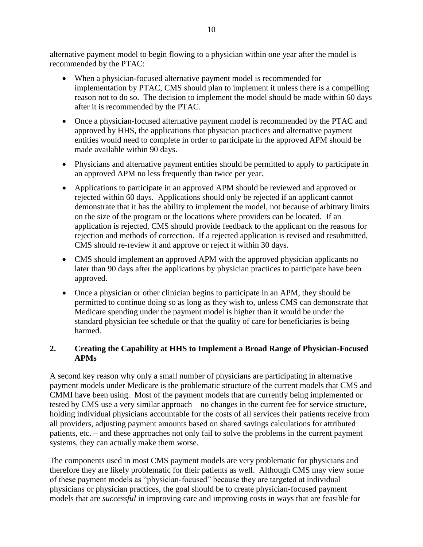alternative payment model to begin flowing to a physician within one year after the model is recommended by the PTAC:

- When a physician-focused alternative payment model is recommended for implementation by PTAC, CMS should plan to implement it unless there is a compelling reason not to do so. The decision to implement the model should be made within 60 days after it is recommended by the PTAC.
- Once a physician-focused alternative payment model is recommended by the PTAC and approved by HHS, the applications that physician practices and alternative payment entities would need to complete in order to participate in the approved APM should be made available within 90 days.
- Physicians and alternative payment entities should be permitted to apply to participate in an approved APM no less frequently than twice per year.
- Applications to participate in an approved APM should be reviewed and approved or rejected within 60 days. Applications should only be rejected if an applicant cannot demonstrate that it has the ability to implement the model, not because of arbitrary limits on the size of the program or the locations where providers can be located. If an application is rejected, CMS should provide feedback to the applicant on the reasons for rejection and methods of correction. If a rejected application is revised and resubmitted, CMS should re-review it and approve or reject it within 30 days.
- CMS should implement an approved APM with the approved physician applicants no later than 90 days after the applications by physician practices to participate have been approved.
- Once a physician or other clinician begins to participate in an APM, they should be permitted to continue doing so as long as they wish to, unless CMS can demonstrate that Medicare spending under the payment model is higher than it would be under the standard physician fee schedule or that the quality of care for beneficiaries is being harmed.

#### **2. Creating the Capability at HHS to Implement a Broad Range of Physician-Focused APMs**

A second key reason why only a small number of physicians are participating in alternative payment models under Medicare is the problematic structure of the current models that CMS and CMMI have been using. Most of the payment models that are currently being implemented or tested by CMS use a very similar approach – no changes in the current fee for service structure, holding individual physicians accountable for the costs of all services their patients receive from all providers, adjusting payment amounts based on shared savings calculations for attributed patients, etc. – and these approaches not only fail to solve the problems in the current payment systems, they can actually make them worse.

The components used in most CMS payment models are very problematic for physicians and therefore they are likely problematic for their patients as well. Although CMS may view some of these payment models as "physician-focused" because they are targeted at individual physicians or physician practices, the goal should be to create physician-focused payment models that are *successful* in improving care and improving costs in ways that are feasible for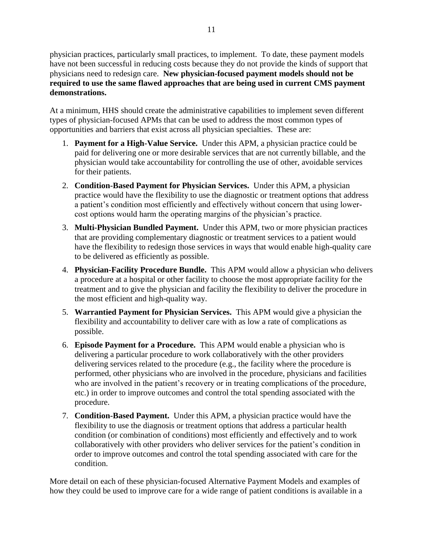physician practices, particularly small practices, to implement. To date, these payment models have not been successful in reducing costs because they do not provide the kinds of support that physicians need to redesign care. **New physician-focused payment models should not be required to use the same flawed approaches that are being used in current CMS payment demonstrations.**

At a minimum, HHS should create the administrative capabilities to implement seven different types of physician-focused APMs that can be used to address the most common types of opportunities and barriers that exist across all physician specialties. These are:

- 1. **Payment for a High-Value Service.** Under this APM, a physician practice could be paid for delivering one or more desirable services that are not currently billable, and the physician would take accountability for controlling the use of other, avoidable services for their patients.
- 2. **Condition-Based Payment for Physician Services.** Under this APM, a physician practice would have the flexibility to use the diagnostic or treatment options that address a patient's condition most efficiently and effectively without concern that using lowercost options would harm the operating margins of the physician's practice.
- 3. **Multi-Physician Bundled Payment.** Under this APM, two or more physician practices that are providing complementary diagnostic or treatment services to a patient would have the flexibility to redesign those services in ways that would enable high-quality care to be delivered as efficiently as possible.
- 4. **Physician-Facility Procedure Bundle.** This APM would allow a physician who delivers a procedure at a hospital or other facility to choose the most appropriate facility for the treatment and to give the physician and facility the flexibility to deliver the procedure in the most efficient and high-quality way.
- 5. **Warrantied Payment for Physician Services.** This APM would give a physician the flexibility and accountability to deliver care with as low a rate of complications as possible.
- 6. **Episode Payment for a Procedure.** This APM would enable a physician who is delivering a particular procedure to work collaboratively with the other providers delivering services related to the procedure (e.g., the facility where the procedure is performed, other physicians who are involved in the procedure, physicians and facilities who are involved in the patient's recovery or in treating complications of the procedure, etc.) in order to improve outcomes and control the total spending associated with the procedure.
- 7. **Condition-Based Payment.** Under this APM, a physician practice would have the flexibility to use the diagnosis or treatment options that address a particular health condition (or combination of conditions) most efficiently and effectively and to work collaboratively with other providers who deliver services for the patient's condition in order to improve outcomes and control the total spending associated with care for the condition.

More detail on each of these physician-focused Alternative Payment Models and examples of how they could be used to improve care for a wide range of patient conditions is available in a